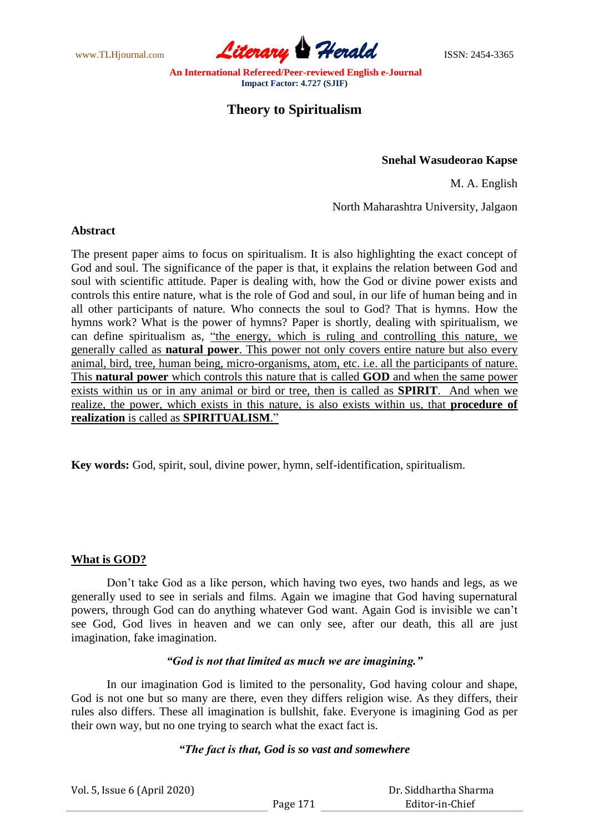www.TLHjournal.com **Literary Herald Herald ISSN: 2454-3365** 

# **Theory to Spiritualism**

#### **Snehal Wasudeorao Kapse**

M. A. English

North Maharashtra University, Jalgaon

#### **Abstract**

The present paper aims to focus on spiritualism. It is also highlighting the exact concept of God and soul. The significance of the paper is that, it explains the relation between God and soul with scientific attitude. Paper is dealing with, how the God or divine power exists and controls this entire nature, what is the role of God and soul, in our life of human being and in all other participants of nature. Who connects the soul to God? That is hymns. How the hymns work? What is the power of hymns? Paper is shortly, dealing with spiritualism, we can define spiritualism as, "the energy, which is ruling and controlling this nature, we generally called as **natural power**. This power not only covers entire nature but also every animal, bird, tree, human being, micro-organisms, atom, etc. i.e. all the participants of nature. This **natural power** which controls this nature that is called **GOD** and when the same power exists within us or in any animal or bird or tree, then is called as **SPIRIT**. And when we realize, the power, which exists in this nature, is also exists within us, that **procedure of realization** is called as **SPIRITUALISM**."

**Key words:** God, spirit, soul, divine power, hymn, self-identification, spiritualism.

# **What is GOD?**

Don't take God as a like person, which having two eyes, two hands and legs, as we generally used to see in serials and films. Again we imagine that God having supernatural powers, through God can do anything whatever God want. Again God is invisible we can't see God, God lives in heaven and we can only see, after our death, this all are just imagination, fake imagination.

#### *"God is not that limited as much we are imagining."*

In our imagination God is limited to the personality, God having colour and shape, God is not one but so many are there, even they differs religion wise. As they differs, their rules also differs. These all imagination is bullshit, fake. Everyone is imagining God as per their own way, but no one trying to search what the exact fact is.

# *"The fact is that, God is so vast and somewhere*

| Vol. 5, Issue 6 (April 2020) |          | Dr. Siddhartha Sharma |
|------------------------------|----------|-----------------------|
|                              | Page 171 | Editor-in-Chief       |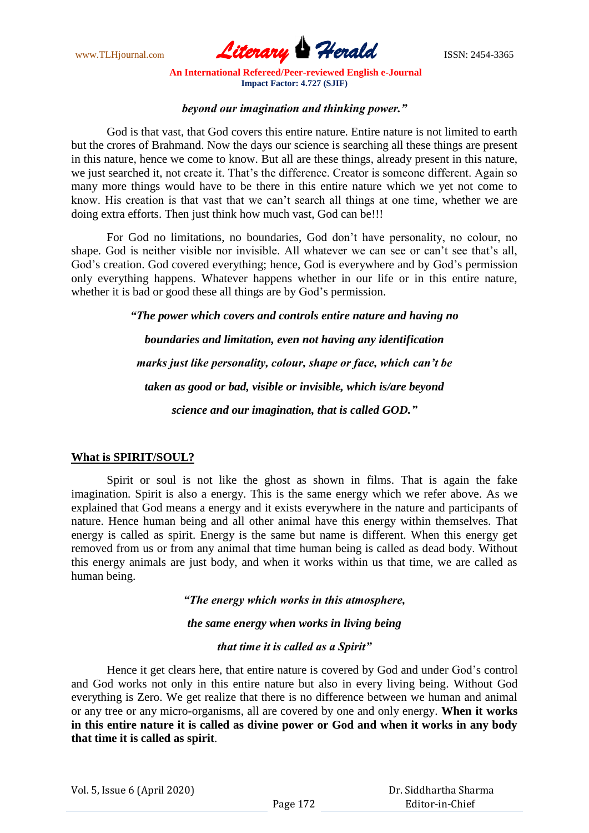

#### *beyond our imagination and thinking power."*

God is that vast, that God covers this entire nature. Entire nature is not limited to earth but the crores of Brahmand. Now the days our science is searching all these things are present in this nature, hence we come to know. But all are these things, already present in this nature, we just searched it, not create it. That's the difference. Creator is someone different. Again so many more things would have to be there in this entire nature which we yet not come to know. His creation is that vast that we can't search all things at one time, whether we are doing extra efforts. Then just think how much vast, God can be!!!

For God no limitations, no boundaries, God don't have personality, no colour, no shape. God is neither visible nor invisible. All whatever we can see or can't see that's all, God's creation. God covered everything; hence, God is everywhere and by God's permission only everything happens. Whatever happens whether in our life or in this entire nature, whether it is bad or good these all things are by God's permission.

*"The power which covers and controls entire nature and having no*

*boundaries and limitation, even not having any identification marks just like personality, colour, shape or face, which can't be taken as good or bad, visible or invisible, which is/are beyond science and our imagination, that is called GOD."*

# **What is SPIRIT/SOUL?**

Spirit or soul is not like the ghost as shown in films. That is again the fake imagination. Spirit is also a energy. This is the same energy which we refer above. As we explained that God means a energy and it exists everywhere in the nature and participants of nature. Hence human being and all other animal have this energy within themselves. That energy is called as spirit. Energy is the same but name is different. When this energy get removed from us or from any animal that time human being is called as dead body. Without this energy animals are just body, and when it works within us that time, we are called as human being.

*"The energy which works in this atmosphere,*

*the same energy when works in living being*

# *that time it is called as a Spirit"*

Hence it get clears here, that entire nature is covered by God and under God's control and God works not only in this entire nature but also in every living being. Without God everything is Zero. We get realize that there is no difference between we human and animal or any tree or any micro-organisms, all are covered by one and only energy. **When it works in this entire nature it is called as divine power or God and when it works in any body that time it is called as spirit**.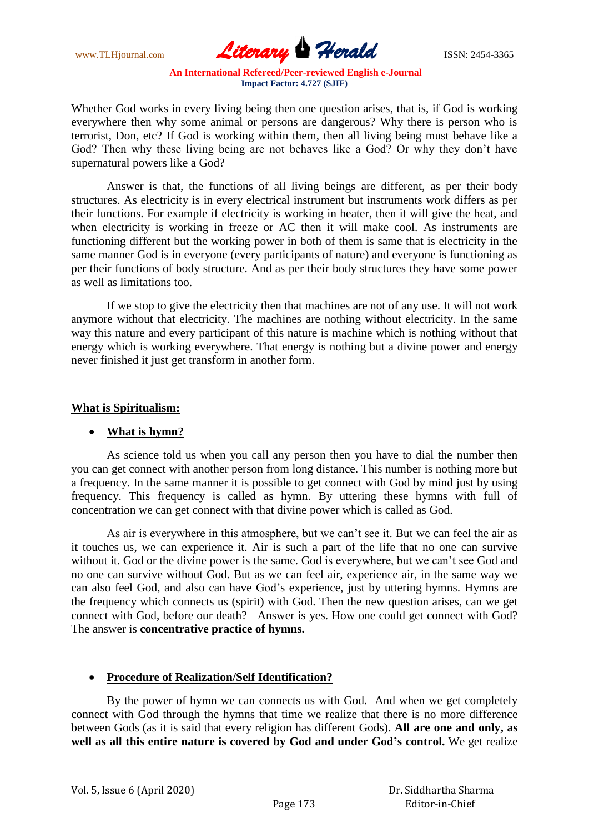www.TLHjournal.com **Literary Herald ISSN: 2454-3365** 

Whether God works in every living being then one question arises, that is, if God is working everywhere then why some animal or persons are dangerous? Why there is person who is terrorist, Don, etc? If God is working within them, then all living being must behave like a God? Then why these living being are not behaves like a God? Or why they don't have supernatural powers like a God?

Answer is that, the functions of all living beings are different, as per their body structures. As electricity is in every electrical instrument but instruments work differs as per their functions. For example if electricity is working in heater, then it will give the heat, and when electricity is working in freeze or AC then it will make cool. As instruments are functioning different but the working power in both of them is same that is electricity in the same manner God is in everyone (every participants of nature) and everyone is functioning as per their functions of body structure. And as per their body structures they have some power as well as limitations too.

If we stop to give the electricity then that machines are not of any use. It will not work anymore without that electricity. The machines are nothing without electricity. In the same way this nature and every participant of this nature is machine which is nothing without that energy which is working everywhere. That energy is nothing but a divine power and energy never finished it just get transform in another form.

#### **What is Spiritualism:**

# **What is hymn?**

As science told us when you call any person then you have to dial the number then you can get connect with another person from long distance. This number is nothing more but a frequency. In the same manner it is possible to get connect with God by mind just by using frequency. This frequency is called as hymn. By uttering these hymns with full of concentration we can get connect with that divine power which is called as God.

As air is everywhere in this atmosphere, but we can't see it. But we can feel the air as it touches us, we can experience it. Air is such a part of the life that no one can survive without it. God or the divine power is the same. God is everywhere, but we can't see God and no one can survive without God. But as we can feel air, experience air, in the same way we can also feel God, and also can have God's experience, just by uttering hymns. Hymns are the frequency which connects us (spirit) with God. Then the new question arises, can we get connect with God, before our death? Answer is yes. How one could get connect with God? The answer is **concentrative practice of hymns.**

# **Procedure of Realization/Self Identification?**

By the power of hymn we can connects us with God. And when we get completely connect with God through the hymns that time we realize that there is no more difference between Gods (as it is said that every religion has different Gods). **All are one and only, as well as all this entire nature is covered by God and under God's control.** We get realize